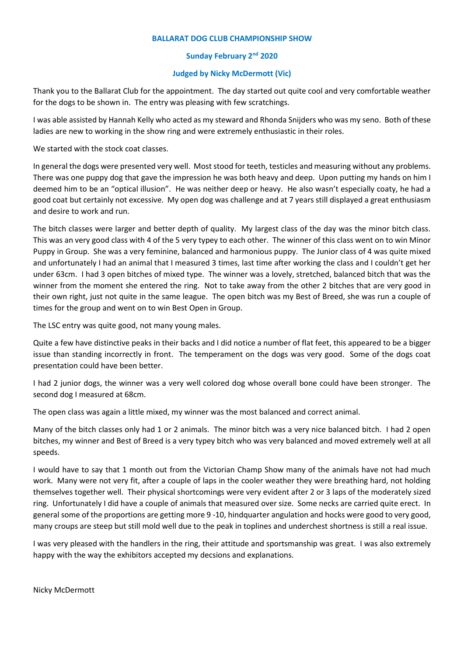## **BALLARAT DOG CLUB CHAMPIONSHIP SHOW**

## **Sunday February 2nd 2020**

## **Judged by Nicky McDermott (Vic)**

Thank you to the Ballarat Club for the appointment. The day started out quite cool and very comfortable weather for the dogs to be shown in. The entry was pleasing with few scratchings.

I was able assisted by Hannah Kelly who acted as my steward and Rhonda Snijders who was my seno. Both of these ladies are new to working in the show ring and were extremely enthusiastic in their roles.

We started with the stock coat classes.

In general the dogs were presented very well. Most stood for teeth, testicles and measuring without any problems. There was one puppy dog that gave the impression he was both heavy and deep. Upon putting my hands on him I deemed him to be an "optical illusion". He was neither deep or heavy. He also wasn't especially coaty, he had a good coat but certainly not excessive. My open dog was challenge and at 7 years still displayed a great enthusiasm and desire to work and run.

The bitch classes were larger and better depth of quality. My largest class of the day was the minor bitch class. This was an very good class with 4 of the 5 very typey to each other. The winner of this class went on to win Minor Puppy in Group. She was a very feminine, balanced and harmonious puppy. The Junior class of 4 was quite mixed and unfortunately I had an animal that I measured 3 times, last time after working the class and I couldn't get her under 63cm. I had 3 open bitches of mixed type. The winner was a lovely, stretched, balanced bitch that was the winner from the moment she entered the ring. Not to take away from the other 2 bitches that are very good in their own right, just not quite in the same league. The open bitch was my Best of Breed, she was run a couple of times for the group and went on to win Best Open in Group.

The LSC entry was quite good, not many young males.

Quite a few have distinctive peaks in their backs and I did notice a number of flat feet, this appeared to be a bigger issue than standing incorrectly in front. The temperament on the dogs was very good. Some of the dogs coat presentation could have been better.

I had 2 junior dogs, the winner was a very well colored dog whose overall bone could have been stronger. The second dog I measured at 68cm.

The open class was again a little mixed, my winner was the most balanced and correct animal.

Many of the bitch classes only had 1 or 2 animals. The minor bitch was a very nice balanced bitch. I had 2 open bitches, my winner and Best of Breed is a very typey bitch who was very balanced and moved extremely well at all speeds.

I would have to say that 1 month out from the Victorian Champ Show many of the animals have not had much work. Many were not very fit, after a couple of laps in the cooler weather they were breathing hard, not holding themselves together well. Their physical shortcomings were very evident after 2 or 3 laps of the moderately sized ring. Unfortunately I did have a couple of animals that measured over size. Some necks are carried quite erect. In general some of the proportions are getting more 9 -10, hindquarter angulation and hocks were good to very good, many croups are steep but still mold well due to the peak in toplines and underchest shortness is still a real issue.

I was very pleased with the handlers in the ring, their attitude and sportsmanship was great. I was also extremely happy with the way the exhibitors accepted my decsions and explanations.

Nicky McDermott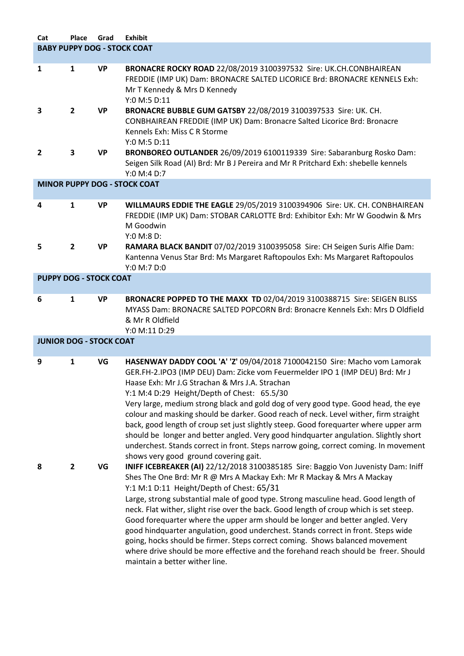| Cat                            | Place                              | Grad      | <b>Exhibit</b>                                                                                                                                                                                                                                                                                                                                                                                                                                                                                                                                                                                                                                                                                                                                                                                                                                                                                                          |  |  |
|--------------------------------|------------------------------------|-----------|-------------------------------------------------------------------------------------------------------------------------------------------------------------------------------------------------------------------------------------------------------------------------------------------------------------------------------------------------------------------------------------------------------------------------------------------------------------------------------------------------------------------------------------------------------------------------------------------------------------------------------------------------------------------------------------------------------------------------------------------------------------------------------------------------------------------------------------------------------------------------------------------------------------------------|--|--|
|                                | <b>BABY PUPPY DOG - STOCK COAT</b> |           |                                                                                                                                                                                                                                                                                                                                                                                                                                                                                                                                                                                                                                                                                                                                                                                                                                                                                                                         |  |  |
| 1                              | 1                                  | <b>VP</b> | BRONACRE ROCKY ROAD 22/08/2019 3100397532 Sire: UK.CH.CONBHAIREAN<br>FREDDIE (IMP UK) Dam: BRONACRE SALTED LICORICE Brd: BRONACRE KENNELS Exh:<br>Mr T Kennedy & Mrs D Kennedy<br>Y:0 M:5 D:11                                                                                                                                                                                                                                                                                                                                                                                                                                                                                                                                                                                                                                                                                                                          |  |  |
| 3                              | $\overline{2}$                     | <b>VP</b> | BRONACRE BUBBLE GUM GATSBY 22/08/2019 3100397533 Sire: UK. CH.<br>CONBHAIREAN FREDDIE (IMP UK) Dam: Bronacre Salted Licorice Brd: Bronacre<br>Kennels Exh: Miss C R Storme<br>Y:0 M:5 D:11                                                                                                                                                                                                                                                                                                                                                                                                                                                                                                                                                                                                                                                                                                                              |  |  |
| $\mathbf{2}$                   | 3                                  | <b>VP</b> | BRONBOREO OUTLANDER 26/09/2019 6100119339 Sire: Sabaranburg Rosko Dam:<br>Seigen Silk Road (AI) Brd: Mr B J Pereira and Mr R Pritchard Exh: shebelle kennels<br>Y:0 M:4 D:7                                                                                                                                                                                                                                                                                                                                                                                                                                                                                                                                                                                                                                                                                                                                             |  |  |
|                                |                                    |           | <b>MINOR PUPPY DOG - STOCK COAT</b>                                                                                                                                                                                                                                                                                                                                                                                                                                                                                                                                                                                                                                                                                                                                                                                                                                                                                     |  |  |
| 4                              | $\mathbf{1}$                       | <b>VP</b> | WILLMAURS EDDIE THE EAGLE 29/05/2019 3100394906 Sire: UK. CH. CONBHAIREAN<br>FREDDIE (IMP UK) Dam: STOBAR CARLOTTE Brd: Exhibitor Exh: Mr W Goodwin & Mrs<br>M Goodwin<br>Y:0 M:8 D:                                                                                                                                                                                                                                                                                                                                                                                                                                                                                                                                                                                                                                                                                                                                    |  |  |
| 5                              | $\overline{2}$                     | <b>VP</b> | RAMARA BLACK BANDIT 07/02/2019 3100395058 Sire: CH Seigen Suris Alfie Dam:<br>Kantenna Venus Star Brd: Ms Margaret Raftopoulos Exh: Ms Margaret Raftopoulos<br>Y:0 M:7 D:0                                                                                                                                                                                                                                                                                                                                                                                                                                                                                                                                                                                                                                                                                                                                              |  |  |
| <b>PUPPY DOG - STOCK COAT</b>  |                                    |           |                                                                                                                                                                                                                                                                                                                                                                                                                                                                                                                                                                                                                                                                                                                                                                                                                                                                                                                         |  |  |
| 6                              | $\mathbf{1}$                       | <b>VP</b> | BRONACRE POPPED TO THE MAXX TD 02/04/2019 3100388715 Sire: SEIGEN BLISS<br>MYASS Dam: BRONACRE SALTED POPCORN Brd: Bronacre Kennels Exh: Mrs D Oldfield<br>& Mr R Oldfield<br>Y:0 M:11 D:29                                                                                                                                                                                                                                                                                                                                                                                                                                                                                                                                                                                                                                                                                                                             |  |  |
| <b>JUNIOR DOG - STOCK COAT</b> |                                    |           |                                                                                                                                                                                                                                                                                                                                                                                                                                                                                                                                                                                                                                                                                                                                                                                                                                                                                                                         |  |  |
| 9<br>8                         | $\mathbf{1}$<br>$\mathbf{2}$       | VG<br>VG  | HASENWAY DADDY COOL 'A' 'Z' 09/04/2018 7100042150 Sire: Macho vom Lamorak<br>GER.FH-2.IPO3 (IMP DEU) Dam: Zicke vom Feuermelder IPO 1 (IMP DEU) Brd: Mr J<br>Haase Exh: Mr J.G Strachan & Mrs J.A. Strachan<br>Y:1 M:4 D:29 Height/Depth of Chest: 65.5/30<br>Very large, medium strong black and gold dog of very good type. Good head, the eye<br>colour and masking should be darker. Good reach of neck. Level wither, firm straight<br>back, good length of croup set just slightly steep. Good forequarter where upper arm<br>should be longer and better angled. Very good hindquarter angulation. Slightly short<br>underchest. Stands correct in front. Steps narrow going, correct coming. In movement<br>shows very good ground covering gait.<br>INIFF ICEBREAKER (AI) 22/12/2018 3100385185 Sire: Baggio Von Juvenisty Dam: Iniff<br>Shes The One Brd: Mr R @ Mrs A Mackay Exh: Mr R Mackay & Mrs A Mackay |  |  |
|                                |                                    |           | Y:1 M:1 D:11 Height/Depth of Chest: 65/31<br>Large, strong substantial male of good type. Strong masculine head. Good length of<br>neck. Flat wither, slight rise over the back. Good length of croup which is set steep.<br>Good forequarter where the upper arm should be longer and better angled. Very<br>good hindquarter angulation, good underchest. Stands correct in front. Steps wide<br>going, hocks should be firmer. Steps correct coming. Shows balanced movement<br>where drive should be more effective and the forehand reach should be freer. Should<br>maintain a better wither line.                                                                                                                                                                                                                                                                                                                |  |  |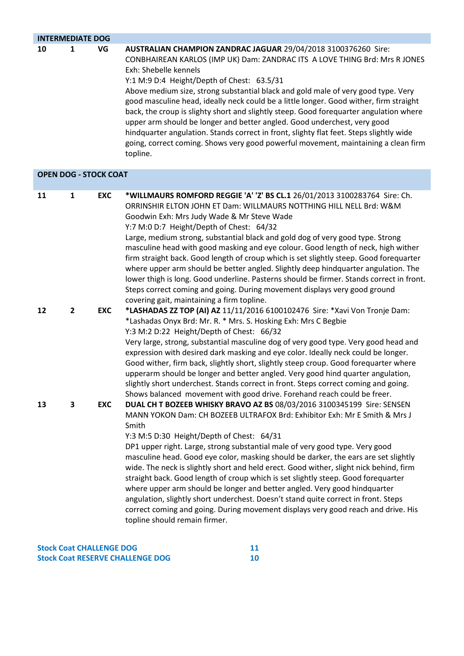|    | <b>INTERMEDIATE DOG</b> |                              |                                                                                                                                                                                                                                                                                                                                                                                                                                                                                                                                                                                                                                                                                                                                                                                                                                                          |  |  |  |
|----|-------------------------|------------------------------|----------------------------------------------------------------------------------------------------------------------------------------------------------------------------------------------------------------------------------------------------------------------------------------------------------------------------------------------------------------------------------------------------------------------------------------------------------------------------------------------------------------------------------------------------------------------------------------------------------------------------------------------------------------------------------------------------------------------------------------------------------------------------------------------------------------------------------------------------------|--|--|--|
| 10 | 1                       | VG                           | AUSTRALIAN CHAMPION ZANDRAC JAGUAR 29/04/2018 3100376260 Sire:<br>CONBHAIREAN KARLOS (IMP UK) Dam: ZANDRAC ITS A LOVE THING Brd: Mrs R JONES<br>Exh: Shebelle kennels<br>Y:1 M:9 D:4 Height/Depth of Chest: 63.5/31<br>Above medium size, strong substantial black and gold male of very good type. Very<br>good masculine head, ideally neck could be a little longer. Good wither, firm straight<br>back, the croup is slighty short and slightly steep. Good forequarter angulation where<br>upper arm should be longer and better angled. Good underchest, very good<br>hindquarter angulation. Stands correct in front, slighty flat feet. Steps slightly wide<br>going, correct coming. Shows very good powerful movement, maintaining a clean firm<br>topline.                                                                                    |  |  |  |
|    |                         | <b>OPEN DOG - STOCK COAT</b> |                                                                                                                                                                                                                                                                                                                                                                                                                                                                                                                                                                                                                                                                                                                                                                                                                                                          |  |  |  |
| 11 | 1                       | <b>EXC</b>                   | *WILLMAURS ROMFORD REGGIE 'A' 'Z' BS CL.1 26/01/2013 3100283764 Sire: Ch.<br>ORRINSHIR ELTON JOHN ET Dam: WILLMAURS NOTTHING HILL NELL Brd: W&M<br>Goodwin Exh: Mrs Judy Wade & Mr Steve Wade<br>Y:7 M:0 D:7 Height/Depth of Chest: 64/32<br>Large, medium strong, substantial black and gold dog of very good type. Strong<br>masculine head with good masking and eye colour. Good length of neck, high wither<br>firm straight back. Good length of croup which is set slightly steep. Good forequarter<br>where upper arm should be better angled. Slightly deep hindquarter angulation. The<br>lower thigh is long. Good underline. Pasterns should be firmer. Stands correct in front.<br>Steps correct coming and going. During movement displays very good ground<br>covering gait, maintaining a firm topline.                                  |  |  |  |
| 12 | $\overline{2}$          | <b>EXC</b>                   | *LASHADAS ZZ TOP (AI) AZ 11/11/2016 6100102476 Sire: *Xavi Von Tronje Dam:<br>*Lashadas Onyx Brd: Mr. R. * Mrs. S. Hosking Exh: Mrs C Begbie<br>Y:3 M:2 D:22 Height/Depth of Chest: 66/32<br>Very large, strong, substantial masculine dog of very good type. Very good head and<br>expression with desired dark masking and eye color. Ideally neck could be longer.<br>Good wither, firm back, slightly short, slightly steep croup. Good forequarter where<br>upperarm should be longer and better angled. Very good hind quarter angulation,<br>slightly short underchest. Stands correct in front. Steps correct coming and going.<br>Shows balanced movement with good drive. Forehand reach could be freer.                                                                                                                                       |  |  |  |
| 13 | 3                       | <b>EXC</b>                   | DUAL CH T BOZEEB WHISKY BRAVO AZ BS 08/03/2016 3100345199 Sire: SENSEN<br>MANN YOKON Dam: CH BOZEEB ULTRAFOX Brd: Exhibitor Exh: Mr E Smith & Mrs J<br>Smith<br>Y:3 M:5 D:30 Height/Depth of Chest: 64/31<br>DP1 upper right. Large, strong substantial male of very good type. Very good<br>masculine head. Good eye color, masking should be darker, the ears are set slightly<br>wide. The neck is slightly short and held erect. Good wither, slight nick behind, firm<br>straight back. Good length of croup which is set slightly steep. Good forequarter<br>where upper arm should be longer and better angled. Very good hindquarter<br>angulation, slightly short underchest. Doesn't stand quite correct in front. Steps<br>correct coming and going. During movement displays very good reach and drive. His<br>topline should remain firmer. |  |  |  |

| <b>Stock Coat CHALLENGE DOG</b>         |  |
|-----------------------------------------|--|
| <b>Stock Coat RESERVE CHALLENGE DOG</b> |  |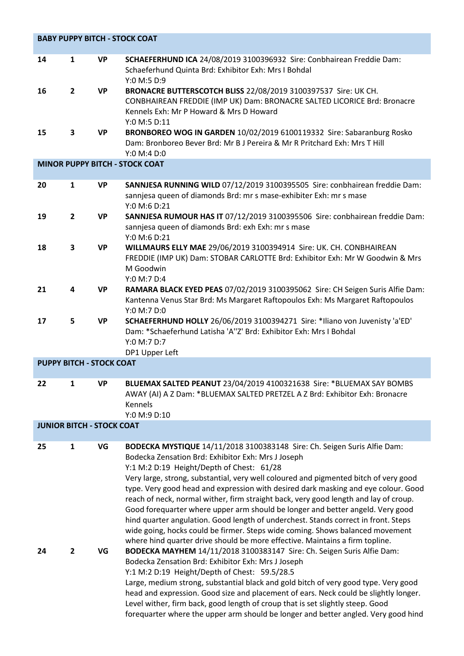|                                  | <b>BABY PUPPY BITCH - STOCK COAT</b> |           |                                                                                                                                                                                                                                                                                                                                                                                                                                                                                                                                                                                                                                                                                                                                                                                            |  |  |
|----------------------------------|--------------------------------------|-----------|--------------------------------------------------------------------------------------------------------------------------------------------------------------------------------------------------------------------------------------------------------------------------------------------------------------------------------------------------------------------------------------------------------------------------------------------------------------------------------------------------------------------------------------------------------------------------------------------------------------------------------------------------------------------------------------------------------------------------------------------------------------------------------------------|--|--|
| 14                               | $\mathbf{1}$                         | <b>VP</b> | SCHAEFERHUND ICA 24/08/2019 3100396932 Sire: Conbhairean Freddie Dam:<br>Schaeferhund Quinta Brd: Exhibitor Exh: Mrs I Bohdal<br>Y:0 M:5 D:9                                                                                                                                                                                                                                                                                                                                                                                                                                                                                                                                                                                                                                               |  |  |
| 16                               | $\overline{2}$                       | <b>VP</b> | BRONACRE BUTTERSCOTCH BLISS 22/08/2019 3100397537 Sire: UK CH.<br>CONBHAIREAN FREDDIE (IMP UK) Dam: BRONACRE SALTED LICORICE Brd: Bronacre<br>Kennels Exh: Mr P Howard & Mrs D Howard<br>Y:0 M:5 D:11                                                                                                                                                                                                                                                                                                                                                                                                                                                                                                                                                                                      |  |  |
| 15                               | 3                                    | <b>VP</b> | BRONBOREO WOG IN GARDEN 10/02/2019 6100119332 Sire: Sabaranburg Rosko<br>Dam: Bronboreo Bever Brd: Mr B J Pereira & Mr R Pritchard Exh: Mrs T Hill<br>Y:0 M:4 D:0                                                                                                                                                                                                                                                                                                                                                                                                                                                                                                                                                                                                                          |  |  |
|                                  |                                      |           | <b>MINOR PUPPY BITCH - STOCK COAT</b>                                                                                                                                                                                                                                                                                                                                                                                                                                                                                                                                                                                                                                                                                                                                                      |  |  |
| 20                               | $\mathbf{1}$                         | <b>VP</b> | SANNJESA RUNNING WILD 07/12/2019 3100395505 Sire: conbhairean freddie Dam:<br>sannjesa queen of diamonds Brd: mr s mase-exhibiter Exh: mr s mase<br>Y:0 M:6 D:21                                                                                                                                                                                                                                                                                                                                                                                                                                                                                                                                                                                                                           |  |  |
| 19                               | $\overline{2}$                       | <b>VP</b> | SANNJESA RUMOUR HAS IT 07/12/2019 3100395506 Sire: conbhairean freddie Dam:<br>sannjesa queen of diamonds Brd: exh Exh: mr s mase<br>Y:0 M:6 D:21                                                                                                                                                                                                                                                                                                                                                                                                                                                                                                                                                                                                                                          |  |  |
| 18                               | 3                                    | <b>VP</b> | WILLMAURS ELLY MAE 29/06/2019 3100394914 Sire: UK. CH. CONBHAIREAN<br>FREDDIE (IMP UK) Dam: STOBAR CARLOTTE Brd: Exhibitor Exh: Mr W Goodwin & Mrs<br>M Goodwin<br>Y:0 M:7 D:4                                                                                                                                                                                                                                                                                                                                                                                                                                                                                                                                                                                                             |  |  |
| 21                               | 4                                    | <b>VP</b> | RAMARA BLACK EYED PEAS 07/02/2019 3100395062 Sire: CH Seigen Suris Alfie Dam:<br>Kantenna Venus Star Brd: Ms Margaret Raftopoulos Exh: Ms Margaret Raftopoulos<br>Y:0 M:7 D:0                                                                                                                                                                                                                                                                                                                                                                                                                                                                                                                                                                                                              |  |  |
| 17                               | 5                                    | <b>VP</b> | SCHAEFERHUND HOLLY 26/06/2019 3100394271 Sire: *Iliano von Juvenisty 'a'ED'<br>Dam: *Schaeferhund Latisha 'A''Z' Brd: Exhibitor Exh: Mrs I Bohdal<br>Y:0 M:7 D:7<br>DP1 Upper Left                                                                                                                                                                                                                                                                                                                                                                                                                                                                                                                                                                                                         |  |  |
| <b>PUPPY BITCH - STOCK COAT</b>  |                                      |           |                                                                                                                                                                                                                                                                                                                                                                                                                                                                                                                                                                                                                                                                                                                                                                                            |  |  |
| 22                               | 1                                    | VP        | BLUEMAX SALTED PEANUT 23/04/2019 4100321638 Sire: *BLUEMAX SAY BOMBS<br>AWAY (AI) A Z Dam: *BLUEMAX SALTED PRETZEL A Z Brd: Exhibitor Exh: Bronacre<br>Kennels<br>Y:0 M:9 D:10                                                                                                                                                                                                                                                                                                                                                                                                                                                                                                                                                                                                             |  |  |
| <b>JUNIOR BITCH - STOCK COAT</b> |                                      |           |                                                                                                                                                                                                                                                                                                                                                                                                                                                                                                                                                                                                                                                                                                                                                                                            |  |  |
| 25                               | $\mathbf{1}$                         | VG        | BODECKA MYSTIQUE 14/11/2018 3100383148 Sire: Ch. Seigen Suris Alfie Dam:<br>Bodecka Zensation Brd: Exhibitor Exh: Mrs J Joseph<br>Y:1 M:2 D:19 Height/Depth of Chest: 61/28<br>Very large, strong, substantial, very well coloured and pigmented bitch of very good<br>type. Very good head and expression with desired dark masking and eye colour. Good<br>reach of neck, normal wither, firm straight back, very good length and lay of croup.<br>Good forequarter where upper arm should be longer and better angeld. Very good<br>hind quarter angulation. Good length of underchest. Stands correct in front. Steps<br>wide going, hocks could be firmer. Steps wide coming. Shows balanced movement<br>where hind quarter drive should be more effective. Maintains a firm topline. |  |  |
| 24                               | $\overline{\mathbf{c}}$              | VG        | BODECKA MAYHEM 14/11/2018 3100383147 Sire: Ch. Seigen Suris Alfie Dam:<br>Bodecka Zensation Brd: Exhibitor Exh: Mrs J Joseph<br>Y:1 M:2 D:19 Height/Depth of Chest: 59.5/28.5<br>Large, medium strong, substantial black and gold bitch of very good type. Very good<br>head and expression. Good size and placement of ears. Neck could be slightly longer.<br>Level wither, firm back, good length of croup that is set slightly steep. Good<br>forequarter where the upper arm should be longer and better angled. Very good hind                                                                                                                                                                                                                                                       |  |  |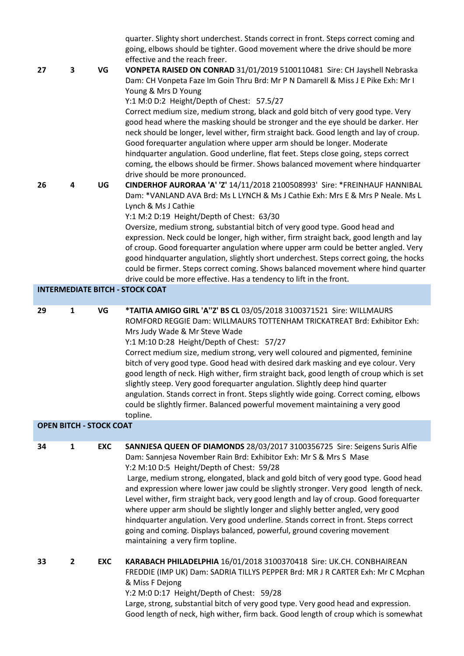| 27                             | 3              | VG         | quarter. Slighty short underchest. Stands correct in front. Steps correct coming and<br>going, elbows should be tighter. Good movement where the drive should be more<br>effective and the reach freer.<br>VONPETA RAISED ON CONRAD 31/01/2019 5100110481 Sire: CH Jayshell Nebraska<br>Dam: CH Vonpeta Faze Im Goin Thru Brd: Mr P N Damarell & Miss J E Pike Exh: Mr I                                                                                                                                                                                                                                                                                                                                                                                               |
|--------------------------------|----------------|------------|------------------------------------------------------------------------------------------------------------------------------------------------------------------------------------------------------------------------------------------------------------------------------------------------------------------------------------------------------------------------------------------------------------------------------------------------------------------------------------------------------------------------------------------------------------------------------------------------------------------------------------------------------------------------------------------------------------------------------------------------------------------------|
|                                |                |            | Young & Mrs D Young<br>Y:1 M:0 D:2 Height/Depth of Chest: 57.5/27<br>Correct medium size, medium strong, black and gold bitch of very good type. Very<br>good head where the masking should be stronger and the eye should be darker. Her<br>neck should be longer, level wither, firm straight back. Good length and lay of croup.<br>Good forequarter angulation where upper arm should be longer. Moderate<br>hindquarter angulation. Good underline, flat feet. Steps close going, steps correct<br>coming, the elbows should be firmer. Shows balanced movement where hindquarter<br>drive should be more pronounced.                                                                                                                                             |
| 26                             | 4              | UG         | CINDERHOF AURORAA 'A' 'Z' 14/11/2018 2100508993' Sire: *FREINHAUF HANNIBAL<br>Dam: *VANLAND AVA Brd: Ms L LYNCH & Ms J Cathie Exh: Mrs E & Mrs P Neale. Ms L<br>Lynch & Ms J Cathie<br>Y:1 M:2 D:19 Height/Depth of Chest: 63/30<br>Oversize, medium strong, substantial bitch of very good type. Good head and<br>expression. Neck could be longer, high wither, firm straight back, good length and lay<br>of croup. Good forequarter angulation where upper arm could be better angled. Very<br>good hindquarter angulation, slightly short underchest. Steps correct going, the hocks<br>could be firmer. Steps correct coming. Shows balanced movement where hind quarter<br>drive could be more effective. Has a tendency to lift in the front.                  |
|                                |                |            | <b>INTERMEDIATE BITCH - STOCK COAT</b>                                                                                                                                                                                                                                                                                                                                                                                                                                                                                                                                                                                                                                                                                                                                 |
| 29                             | $\mathbf{1}$   | VG         | *TAITIA AMIGO GIRL 'A"Z' BS CL 03/05/2018 3100371521 Sire: WILLMAURS<br>ROMFORD REGGIE Dam: WILLMAURS TOTTENHAM TRICKATREAT Brd: Exhibitor Exh:<br>Mrs Judy Wade & Mr Steve Wade<br>Y:1 M:10 D:28 Height/Depth of Chest: 57/27<br>Correct medium size, medium strong, very well coloured and pigmented, feminine<br>bitch of very good type. Good head with desired dark masking and eye colour. Very<br>good length of neck. High wither, firm straight back, good length of croup which is set<br>slightly steep. Very good forequarter angulation. Slightly deep hind quarter<br>angulation. Stands correct in front. Steps slightly wide going. Correct coming, elbows<br>could be slightly firmer. Balanced powerful movement maintaining a very good<br>topline. |
| <b>OPEN BITCH - STOCK COAT</b> |                |            |                                                                                                                                                                                                                                                                                                                                                                                                                                                                                                                                                                                                                                                                                                                                                                        |
| 34                             | 1              | <b>EXC</b> | SANNJESA QUEEN OF DIAMONDS 28/03/2017 3100356725 Sire: Seigens Suris Alfie<br>Dam: Sannjesa November Rain Brd: Exhibitor Exh: Mr S & Mrs S Mase<br>Y:2 M:10 D:5 Height/Depth of Chest: 59/28<br>Large, medium strong, elongated, black and gold bitch of very good type. Good head<br>and expression where lower jaw could be slightly stronger. Very good length of neck.<br>Level wither, firm straight back, very good length and lay of croup. Good forequarter<br>where upper arm should be slightly longer and slighly better angled, very good<br>hindquarter angulation. Very good underline. Stands correct in front. Steps correct<br>going and coming. Displays balanced, powerful, ground covering movement<br>maintaining a very firm topline.            |
| 33                             | $\overline{2}$ | <b>EXC</b> | KARABACH PHILADELPHIA 16/01/2018 3100370418 Sire: UK.CH. CONBHAIREAN<br>FREDDIE (IMP UK) Dam: SADRIA TILLYS PEPPER Brd: MR J R CARTER Exh: Mr C Mcphan<br>& Miss F Dejong<br>Y:2 M:0 D:17 Height/Depth of Chest: 59/28<br>Large, strong, substantial bitch of very good type. Very good head and expression.<br>Good length of neck, high wither, firm back. Good length of croup which is somewhat                                                                                                                                                                                                                                                                                                                                                                    |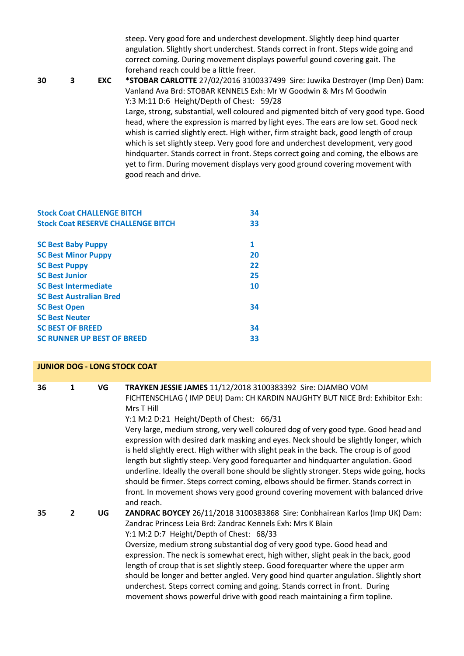|    |   |            | steep. Very good fore and underchest development. Slightly deep hind quarter<br>angulation. Slightly short underchest. Stands correct in front. Steps wide going and<br>correct coming. During movement displays powerful gound covering gait. The<br>forehand reach could be a little freer. |
|----|---|------------|-----------------------------------------------------------------------------------------------------------------------------------------------------------------------------------------------------------------------------------------------------------------------------------------------|
| 30 | 3 | <b>EXC</b> | *STOBAR CARLOTTE 27/02/2016 3100337499 Sire: Juwika Destroyer (Imp Den) Dam:                                                                                                                                                                                                                  |
|    |   |            | Vanland Ava Brd: STOBAR KENNELS Exh: Mr W Goodwin & Mrs M Goodwin                                                                                                                                                                                                                             |
|    |   |            | Y:3 M:11 D:6 Height/Depth of Chest: 59/28                                                                                                                                                                                                                                                     |
|    |   |            | Large, strong, substantial, well coloured and pigmented bitch of very good type. Good                                                                                                                                                                                                         |
|    |   |            | head, where the expression is marred by light eyes. The ears are low set. Good neck<br>whish is carried slightly erect. High wither, firm straight back, good length of croup                                                                                                                 |
|    |   |            | which is set slightly steep. Very good fore and underchest development, very good                                                                                                                                                                                                             |
|    |   |            | hindquarter. Stands correct in front. Steps correct going and coming, the elbows are<br>yet to firm. During movement displays very good ground covering movement with                                                                                                                         |
|    |   |            | good reach and drive.                                                                                                                                                                                                                                                                         |

| <b>Stock Coat CHALLENGE BITCH</b>         | 34 |
|-------------------------------------------|----|
| <b>Stock Coat RESERVE CHALLENGE BITCH</b> | 33 |
|                                           |    |
| <b>SC Best Baby Puppy</b>                 | 1  |
| <b>SC Best Minor Puppy</b>                | 20 |
| <b>SC Best Puppy</b>                      | 22 |
| <b>SC Best Junior</b>                     | 25 |
| <b>SC Best Intermediate</b>               | 10 |
| <b>SC Best Australian Bred</b>            |    |
| <b>SC Best Open</b>                       | 34 |
| <b>SC Best Neuter</b>                     |    |
| <b>SC BEST OF BREED</b>                   | 34 |
| <b>SC RUNNER UP BEST OF BREED</b>         | 33 |

|    | <b>JUNIOR DOG - LONG STOCK COAT</b> |    |                                                                                                                                                                                                                                                                                                                                                                                                                                                                                                                                                                                                                                                                                                                                                                                                                                                       |  |  |
|----|-------------------------------------|----|-------------------------------------------------------------------------------------------------------------------------------------------------------------------------------------------------------------------------------------------------------------------------------------------------------------------------------------------------------------------------------------------------------------------------------------------------------------------------------------------------------------------------------------------------------------------------------------------------------------------------------------------------------------------------------------------------------------------------------------------------------------------------------------------------------------------------------------------------------|--|--|
| 36 | 1                                   | VG | TRAYKEN JESSIE JAMES 11/12/2018 3100383392 Sire: DJAMBO VOM<br>FICHTENSCHLAG (IMP DEU) Dam: CH KARDIN NAUGHTY BUT NICE Brd: Exhibitor Exh:<br>Mrs T Hill<br>Y:1 M:2 D:21 Height/Depth of Chest: 66/31<br>Very large, medium strong, very well coloured dog of very good type. Good head and<br>expression with desired dark masking and eyes. Neck should be slightly longer, which<br>is held slightly erect. High wither with slight peak in the back. The croup is of good<br>length but slightly steep. Very good forequarter and hindquarter angulation. Good<br>underline. Ideally the overall bone should be slightly stronger. Steps wide going, hocks<br>should be firmer. Steps correct coming, elbows should be firmer. Stands correct in<br>front. In movement shows very good ground covering movement with balanced drive<br>and reach. |  |  |
| 35 | $\mathbf{2}$                        | UG | ZANDRAC BOYCEY 26/11/2018 3100383868 Sire: Conbhairean Karlos (Imp UK) Dam:<br>Zandrac Princess Leia Brd: Zandrac Kennels Exh: Mrs K Blain<br>Y:1 M:2 D:7 Height/Depth of Chest: 68/33<br>Oversize, medium strong substantial dog of very good type. Good head and<br>expression. The neck is somewhat erect, high wither, slight peak in the back, good<br>length of croup that is set slightly steep. Good forequarter where the upper arm<br>should be longer and better angled. Very good hind quarter angulation. Slightly short<br>underchest. Steps correct coming and going. Stands correct in front. During<br>movement shows powerful drive with good reach maintaining a firm topline.                                                                                                                                                     |  |  |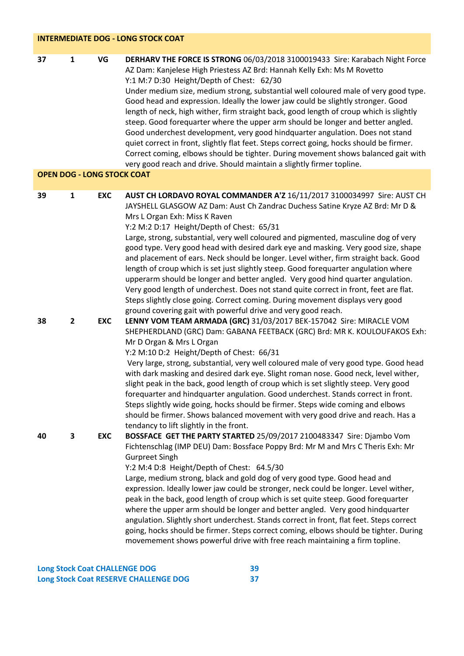| DERHARV THE FORCE IS STRONG 06/03/2018 3100019433 Sire: Karabach Night Force<br>AZ Dam: Kanjelese High Priestess AZ Brd: Hannah Kelly Exh: Ms M Rovetto<br>Under medium size, medium strong, substantial well coloured male of very good type.<br>Good head and expression. Ideally the lower jaw could be slightly stronger. Good<br>length of neck, high wither, firm straight back, good length of croup which is slightly<br>steep. Good forequarter where the upper arm should be longer and better angled.<br>Good underchest development, very good hindquarter angulation. Does not stand<br>quiet correct in front, slightly flat feet. Steps correct going, hocks should be firmer.<br>Correct coming, elbows should be tighter. During movement shows balanced gait with<br>very good reach and drive. Should maintain a slightly firmer topline. |
|--------------------------------------------------------------------------------------------------------------------------------------------------------------------------------------------------------------------------------------------------------------------------------------------------------------------------------------------------------------------------------------------------------------------------------------------------------------------------------------------------------------------------------------------------------------------------------------------------------------------------------------------------------------------------------------------------------------------------------------------------------------------------------------------------------------------------------------------------------------|
|                                                                                                                                                                                                                                                                                                                                                                                                                                                                                                                                                                                                                                                                                                                                                                                                                                                              |
| AUST CH LORDAVO ROYAL COMMANDER A'Z 16/11/2017 3100034997 Sire: AUST CH<br>JAYSHELL GLASGOW AZ Dam: Aust Ch Zandrac Duchess Satine Kryze AZ Brd: Mr D &<br>Large, strong, substantial, very well coloured and pigmented, masculine dog of very<br>good type. Very good head with desired dark eye and masking. Very good size, shape                                                                                                                                                                                                                                                                                                                                                                                                                                                                                                                         |
| and placement of ears. Neck should be longer. Level wither, firm straight back. Good<br>length of croup which is set just slightly steep. Good forequarter angulation where<br>upperarm should be longer and better angled. Very good hind quarter angulation.<br>Very good length of underchest. Does not stand quite correct in front, feet are flat.<br>Steps slightly close going. Correct coming. During movement displays very good<br>ground covering gait with powerful drive and very good reach.                                                                                                                                                                                                                                                                                                                                                   |
| LENNY VOM TEAM ARMADA (GRC) 31/03/2017 BEK-157042 Sire: MIRACLE VOM<br>SHEPHERDLAND (GRC) Dam: GABANA FEETBACK (GRC) Brd: MR K. KOULOUFAKOS Exh:<br>Very large, strong, substantial, very well coloured male of very good type. Good head                                                                                                                                                                                                                                                                                                                                                                                                                                                                                                                                                                                                                    |
| with dark masking and desired dark eye. Slight roman nose. Good neck, level wither,<br>slight peak in the back, good length of croup which is set slightly steep. Very good<br>forequarter and hindquarter angulation. Good underchest. Stands correct in front.<br>Steps slightly wide going, hocks should be firmer. Steps wide coming and elbows<br>should be firmer. Shows balanced movement with very good drive and reach. Has a                                                                                                                                                                                                                                                                                                                                                                                                                       |
| BOSSFACE GET THE PARTY STARTED 25/09/2017 2100483347 Sire: Djambo Vom<br>Fichtenschlag (IMP DEU) Dam: Bossface Poppy Brd: Mr M and Mrs C Theris Exh: Mr<br>Large, medium strong, black and gold dog of very good type. Good head and<br>expression. Ideally lower jaw could be stronger, neck could be longer. Level wither,<br>peak in the back, good length of croup which is set quite steep. Good forequarter<br>where the upper arm should be longer and better angled. Very good hindquarter<br>angulation. Slightly short underchest. Stands correct in front, flat feet. Steps correct<br>going, hocks should be firmer. Steps correct coming, elbows should be tighter. During<br>movemement shows powerful drive with free reach maintaining a firm topline.                                                                                       |
|                                                                                                                                                                                                                                                                                                                                                                                                                                                                                                                                                                                                                                                                                                                                                                                                                                                              |

| <b>Long Stock Coat CHALLENGE DOG</b>  | 39 |
|---------------------------------------|----|
| Long Stock Coat RESERVE CHALLENGE DOG |    |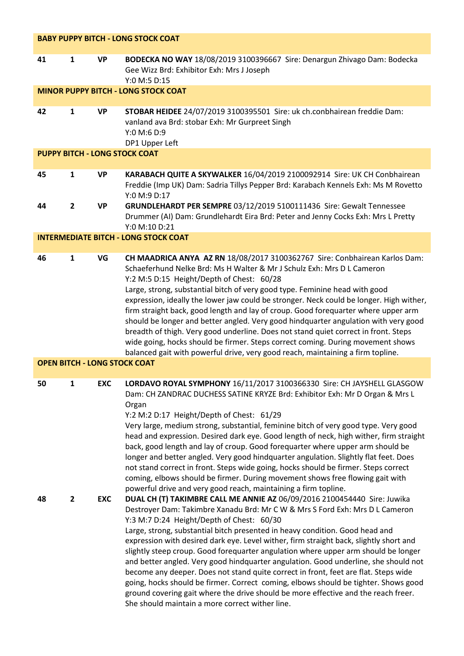|          |                              |                          | <b>BABY PUPPY BITCH - LONG STOCK COAT</b>                                                                                                                                                                                                                                                                                                                                                                                                                                                                                                                                                                                                                                                                                                                                                                                                                                                                                                                                                                                                                                                                                                                                                                                                                                                                                                                                                                                                                                                                                                                                                                                                                                                                |
|----------|------------------------------|--------------------------|----------------------------------------------------------------------------------------------------------------------------------------------------------------------------------------------------------------------------------------------------------------------------------------------------------------------------------------------------------------------------------------------------------------------------------------------------------------------------------------------------------------------------------------------------------------------------------------------------------------------------------------------------------------------------------------------------------------------------------------------------------------------------------------------------------------------------------------------------------------------------------------------------------------------------------------------------------------------------------------------------------------------------------------------------------------------------------------------------------------------------------------------------------------------------------------------------------------------------------------------------------------------------------------------------------------------------------------------------------------------------------------------------------------------------------------------------------------------------------------------------------------------------------------------------------------------------------------------------------------------------------------------------------------------------------------------------------|
| 41       | $\mathbf{1}$                 | <b>VP</b>                | BODECKA NO WAY 18/08/2019 3100396667 Sire: Denargun Zhivago Dam: Bodecka<br>Gee Wizz Brd: Exhibitor Exh: Mrs J Joseph<br>Y:0 M:5 D:15                                                                                                                                                                                                                                                                                                                                                                                                                                                                                                                                                                                                                                                                                                                                                                                                                                                                                                                                                                                                                                                                                                                                                                                                                                                                                                                                                                                                                                                                                                                                                                    |
|          |                              |                          | <b>MINOR PUPPY BITCH - LONG STOCK COAT</b>                                                                                                                                                                                                                                                                                                                                                                                                                                                                                                                                                                                                                                                                                                                                                                                                                                                                                                                                                                                                                                                                                                                                                                                                                                                                                                                                                                                                                                                                                                                                                                                                                                                               |
| 42       | $\mathbf{1}$                 | <b>VP</b>                | STOBAR HEIDEE 24/07/2019 3100395501 Sire: uk ch.conbhairean freddie Dam:<br>vanland ava Brd: stobar Exh: Mr Gurpreet Singh<br>Y:0 M:6 D:9<br>DP1 Upper Left                                                                                                                                                                                                                                                                                                                                                                                                                                                                                                                                                                                                                                                                                                                                                                                                                                                                                                                                                                                                                                                                                                                                                                                                                                                                                                                                                                                                                                                                                                                                              |
|          |                              |                          | <b>PUPPY BITCH - LONG STOCK COAT</b>                                                                                                                                                                                                                                                                                                                                                                                                                                                                                                                                                                                                                                                                                                                                                                                                                                                                                                                                                                                                                                                                                                                                                                                                                                                                                                                                                                                                                                                                                                                                                                                                                                                                     |
| 45       | $\mathbf{1}$                 | <b>VP</b>                | KARABACH QUITE A SKYWALKER 16/04/2019 2100092914 Sire: UK CH Conbhairean<br>Freddie (Imp UK) Dam: Sadria Tillys Pepper Brd: Karabach Kennels Exh: Ms M Rovetto<br>Y:0 M:9 D:17                                                                                                                                                                                                                                                                                                                                                                                                                                                                                                                                                                                                                                                                                                                                                                                                                                                                                                                                                                                                                                                                                                                                                                                                                                                                                                                                                                                                                                                                                                                           |
| 44       | $\overline{2}$               | <b>VP</b>                | GRUNDLEHARDT PER SEMPRE 03/12/2019 5100111436 Sire: Gewalt Tennessee<br>Drummer (AI) Dam: Grundlehardt Eira Brd: Peter and Jenny Cocks Exh: Mrs L Pretty<br>Y:0 M:10 D:21                                                                                                                                                                                                                                                                                                                                                                                                                                                                                                                                                                                                                                                                                                                                                                                                                                                                                                                                                                                                                                                                                                                                                                                                                                                                                                                                                                                                                                                                                                                                |
|          |                              |                          | <b>INTERMEDIATE BITCH - LONG STOCK COAT</b>                                                                                                                                                                                                                                                                                                                                                                                                                                                                                                                                                                                                                                                                                                                                                                                                                                                                                                                                                                                                                                                                                                                                                                                                                                                                                                                                                                                                                                                                                                                                                                                                                                                              |
| 46       | $\mathbf{1}$                 | VG                       | CH MAADRICA ANYA AZ RN 18/08/2017 3100362767 Sire: Conbhairean Karlos Dam:<br>Schaeferhund Nelke Brd: Ms H Walter & Mr J Schulz Exh: Mrs D L Cameron<br>Y:2 M:5 D:15 Height/Depth of Chest: 60/28<br>Large, strong, substantial bitch of very good type. Feminine head with good<br>expression, ideally the lower jaw could be stronger. Neck could be longer. High wither,<br>firm straight back, good length and lay of croup. Good forequarter where upper arm<br>should be longer and better angled. Very good hindquarter angulation with very good<br>breadth of thigh. Very good underline. Does not stand quiet correct in front. Steps<br>wide going, hocks should be firmer. Steps correct coming. During movement shows<br>balanced gait with powerful drive, very good reach, maintaining a firm topline.                                                                                                                                                                                                                                                                                                                                                                                                                                                                                                                                                                                                                                                                                                                                                                                                                                                                                    |
|          |                              |                          | <b>OPEN BITCH - LONG STOCK COAT</b>                                                                                                                                                                                                                                                                                                                                                                                                                                                                                                                                                                                                                                                                                                                                                                                                                                                                                                                                                                                                                                                                                                                                                                                                                                                                                                                                                                                                                                                                                                                                                                                                                                                                      |
| 50<br>48 | $\mathbf{1}$<br>$\mathbf{2}$ | <b>EXC</b><br><b>EXC</b> | LORDAVO ROYAL SYMPHONY 16/11/2017 3100366330 Sire: CH JAYSHELL GLASGOW<br>Dam: CH ZANDRAC DUCHESS SATINE KRYZE Brd: Exhibitor Exh: Mr D Organ & Mrs L<br>Organ<br>Y:2 M:2 D:17 Height/Depth of Chest: 61/29<br>Very large, medium strong, substantial, feminine bitch of very good type. Very good<br>head and expression. Desired dark eye. Good length of neck, high wither, firm straight<br>back, good length and lay of croup. Good forequarter where upper arm should be<br>longer and better angled. Very good hindquarter angulation. Slightly flat feet. Does<br>not stand correct in front. Steps wide going, hocks should be firmer. Steps correct<br>coming, elbows should be firmer. During movement shows free flowing gait with<br>powerful drive and very good reach, maintaining a firm topline.<br>DUAL CH (T) TAKIMBRE CALL ME ANNIE AZ 06/09/2016 2100454440 Sire: Juwika<br>Destroyer Dam: Takimbre Xanadu Brd: Mr C W & Mrs S Ford Exh: Mrs D L Cameron<br>Y:3 M:7 D:24 Height/Depth of Chest: 60/30<br>Large, strong, substantial bitch presented in heavy condition. Good head and<br>expression with desired dark eye. Level wither, firm straight back, slightly short and<br>slightly steep croup. Good forequarter angulation where upper arm should be longer<br>and better angled. Very good hindquarter angulation. Good underline, she should not<br>become any deeper. Does not stand quite correct in front, feet are flat. Steps wide<br>going, hocks should be firmer. Correct coming, elbows should be tighter. Shows good<br>ground covering gait where the drive should be more effective and the reach freer.<br>She should maintain a more correct wither line. |